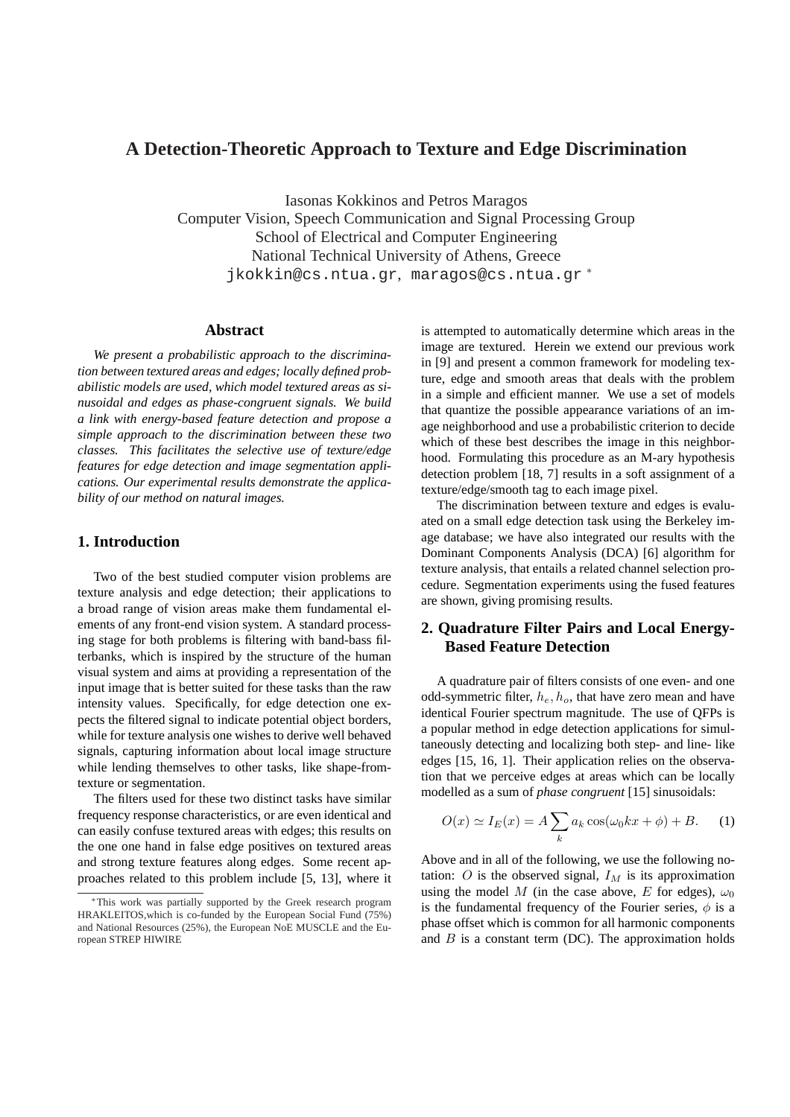# **A Detection-Theoretic Approach to Texture and Edge Discrimination**

Iasonas Kokkinos and Petros Maragos Computer Vision, Speech Communication and Signal Processing Group School of Electrical and Computer Engineering National Technical University of Athens, Greece jkokkin@cs.ntua.gr, maragos@cs.ntua.qr\*

## **Abstract**

*We present a probabilistic approach to the discrimination between textured areas and edges; locally defined probabilistic models are used, which model textured areas as sinusoidal and edges as phase-congruent signals. We build a link with energy-based feature detection and propose a simple approach to the discrimination between these two classes. This facilitates the selective use of texture/edge features for edge detection and image segmentation applications. Our experimental results demonstrate the applicability of our method on natural images.*

## **1. Introduction**

Two of the best studied computer vision problems are texture analysis and edge detection; their applications to a broad range of vision areas make them fundamental elements of any front-end vision system. A standard processing stage for both problems is filtering with band-bass filterbanks, which is inspired by the structure of the human visual system and aims at providing a representation of the input image that is better suited for these tasks than the raw intensity values. Specifically, for edge detection one expects the filtered signal to indicate potential object borders, while for texture analysis one wishes to derive well behaved signals, capturing information about local image structure while lending themselves to other tasks, like shape-fromtexture or segmentation.

The filters used for these two distinct tasks have similar frequency response characteristics, or are even identical and can easily confuse textured areas with edges; this results on the one one hand in false edge positives on textured areas and strong texture features along edges. Some recent approaches related to this problem include [5, 13], where it is attempted to automatically determine which areas in the image are textured. Herein we extend our previous work in [9] and present a common framework for modeling texture, edge and smooth areas that deals with the problem in a simple and efficient manner. We use a set of models that quantize the possible appearance variations of an image neighborhood and use a probabilistic criterion to decide which of these best describes the image in this neighborhood. Formulating this procedure as an M-ary hypothesis detection problem [18, 7] results in a soft assignment of a texture/edge/smooth tag to each image pixel.

The discrimination between texture and edges is evaluated on a small edge detection task using the Berkeley image database; we have also integrated our results with the Dominant Components Analysis (DCA) [6] algorithm for texture analysis, that entails a related channel selection procedure. Segmentation experiments using the fused features are shown, giving promising results.

## **2. Quadrature Filter Pairs and Local Energy-Based Feature Detection**

A quadrature pair of filters consists of one even- and one odd-symmetric filter,  $h_e$ ,  $h_o$ , that have zero mean and have identical Fourier spectrum magnitude. The use of QFPs is a popular method in edge detection applications for simultaneously detecting and localizing both step- and line- like edges [15, 16, 1]. Their application relies on the observation that we perceive edges at areas which can be locally modelled as a sum of *phase congruent* [15] sinusoidals:

$$
O(x) \simeq I_E(x) = A \sum_k a_k \cos(\omega_0 k x + \phi) + B. \tag{1}
$$

Above and in all of the following, we use the following notation:  $O$  is the observed signal,  $I_M$  is its approximation using the model M (in the case above, E for edges),  $\omega_0$ is the fundamental frequency of the Fourier series,  $\phi$  is a phase offset which is common for all harmonic components and  $B$  is a constant term (DC). The approximation holds

<sup>∗</sup>This work was partially supported by the Greek research program HRAKLEITOS,which is co-funded by the European Social Fund (75%) and National Resources (25%), the European NoE MUSCLE and the European STREP HIWIRE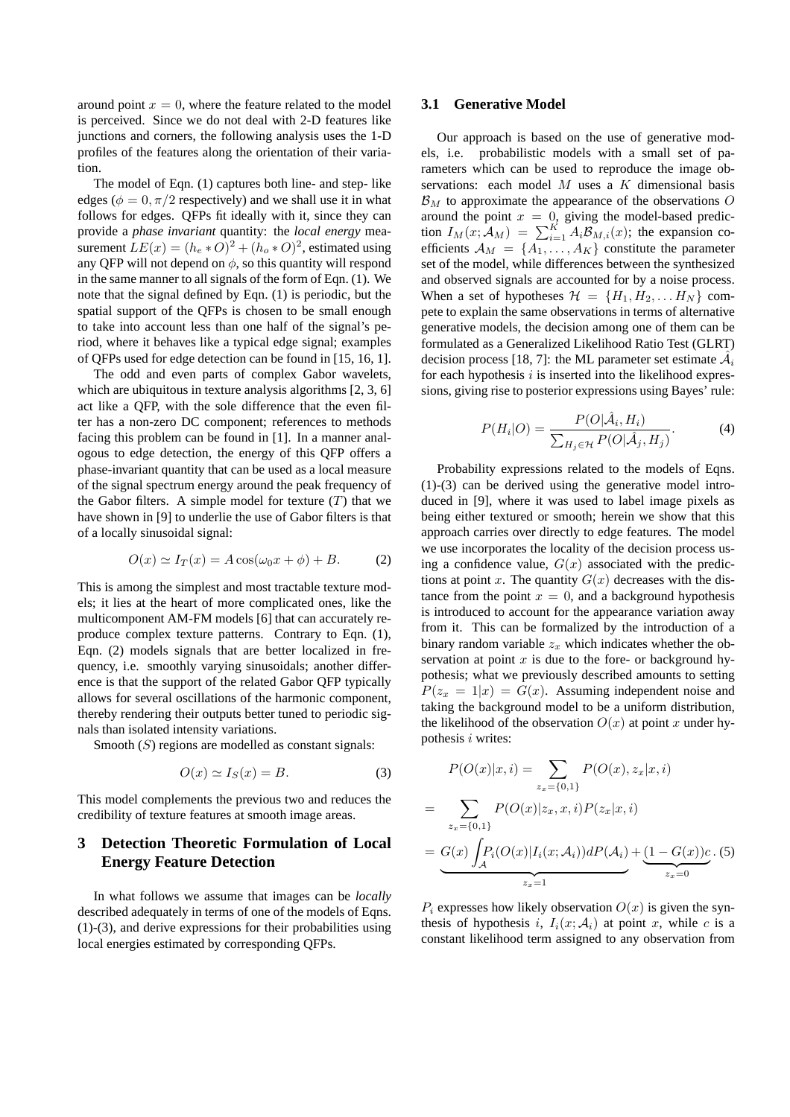around point  $x = 0$ , where the feature related to the model is perceived. Since we do not deal with 2-D features like junctions and corners, the following analysis uses the 1-D profiles of the features along the orientation of their variation.

The model of Eqn. (1) captures both line- and step- like edges ( $\phi = 0, \pi/2$  respectively) and we shall use it in what follows for edges. QFPs fit ideally with it, since they can provide a *phase invariant* quantity: the *local energy* measurement  $LE(x) = (h_e * O)^2 + (h_o * O)^2$ , estimated using any QFP will not depend on  $\phi$ , so this quantity will respond in the same manner to all signals of the form of Eqn. (1). We note that the signal defined by Eqn. (1) is periodic, but the spatial support of the QFPs is chosen to be small enough to take into account less than one half of the signal's period, where it behaves like a typical edge signal; examples of QFPs used for edge detection can be found in [15, 16, 1].

The odd and even parts of complex Gabor wavelets, which are ubiquitous in texture analysis algorithms [2, 3, 6] act like a QFP, with the sole difference that the even filter has a non-zero DC component; references to methods facing this problem can be found in [1]. In a manner analogous to edge detection, the energy of this QFP offers a phase-invariant quantity that can be used as a local measure of the signal spectrum energy around the peak frequency of the Gabor filters. A simple model for texture  $(T)$  that we have shown in [9] to underlie the use of Gabor filters is that of a locally sinusoidal signal:

$$
O(x) \simeq I_T(x) = A\cos(\omega_0 x + \phi) + B. \tag{2}
$$

This is among the simplest and most tractable texture models; it lies at the heart of more complicated ones, like the multicomponent AM-FM models [6] that can accurately reproduce complex texture patterns. Contrary to Eqn. (1), Eqn. (2) models signals that are better localized in frequency, i.e. smoothly varying sinusoidals; another difference is that the support of the related Gabor QFP typically allows for several oscillations of the harmonic component, thereby rendering their outputs better tuned to periodic signals than isolated intensity variations.

Smooth  $(S)$  regions are modelled as constant signals:

$$
O(x) \simeq I_S(x) = B. \tag{3}
$$

This model complements the previous two and reduces the credibility of texture features at smooth image areas.

## **3 Detection Theoretic Formulation of Local Energy Feature Detection**

In what follows we assume that images can be *locally* described adequately in terms of one of the models of Eqns. (1)-(3), and derive expressions for their probabilities using local energies estimated by corresponding QFPs.

#### **3.1 Generative Model**

Our approach is based on the use of generative models, i.e. probabilistic models with a small set of parameters which can be used to reproduce the image observations: each model  $M$  uses a  $K$  dimensional basis  $\mathcal{B}_M$  to approximate the appearance of the observations O around the point  $x = 0$ , giving the model-based prediction  $I_M(x; \mathcal{A}_M) = \sum_{i=1}^K A_i \mathcal{B}_{M,i}(x)$ ; the expansion coefficients  $A_M = \{A_1, \ldots, A_K\}$  constitute the parameter set of the model, while differences between the synthesized and observed signals are accounted for by a noise process. When a set of hypotheses  $\mathcal{H} = \{H_1, H_2, \dots H_N\}$  compete to explain the same observations in terms of alternative generative models, the decision among one of them can be formulated as a Generalized Likelihood Ratio Test (GLRT) decision process [18, 7]: the ML parameter set estimate  $\hat{\mathcal{A}}_i$ for each hypothesis  $i$  is inserted into the likelihood expressions, giving rise to posterior expressions using Bayes' rule:

$$
P(H_i|O) = \frac{P(O|\hat{\mathcal{A}}_i, H_i)}{\sum_{H_j \in \mathcal{H}} P(O|\hat{\mathcal{A}}_j, H_j)}.
$$
 (4)

Probability expressions related to the models of Eqns. (1)-(3) can be derived using the generative model introduced in [9], where it was used to label image pixels as being either textured or smooth; herein we show that this approach carries over directly to edge features. The model we use incorporates the locality of the decision process using a confidence value,  $G(x)$  associated with the predictions at point x. The quantity  $G(x)$  decreases with the distance from the point  $x = 0$ , and a background hypothesis is introduced to account for the appearance variation away from it. This can be formalized by the introduction of a binary random variable  $z_x$  which indicates whether the observation at point  $x$  is due to the fore- or background hypothesis; what we previously described amounts to setting  $P(z_x = 1|x) = G(x)$ . Assuming independent noise and taking the background model to be a uniform distribution, the likelihood of the observation  $O(x)$  at point x under hypothesis *i* writes:

$$
P(O(x)|x, i) = \sum_{z_x = \{0, 1\}} P(O(x), z_x | x, i)
$$
  
= 
$$
\sum_{z_x = \{0, 1\}} P(O(x)|z_x, x, i) P(z_x | x, i)
$$
  
= 
$$
\underbrace{G(x) \int_{\mathcal{A}} P_i(O(x)|I_i(x; \mathcal{A}_i)) dP(\mathcal{A}_i)}_{z_x = 1} + \underbrace{(1 - G(x))c}_{z_x = 0}.
$$
 (5)

 $P_i$  expresses how likely observation  $O(x)$  is given the synthesis of hypothesis i,  $I_i(x; \mathcal{A}_i)$  at point x, while c is a constant likelihood term assigned to any observation from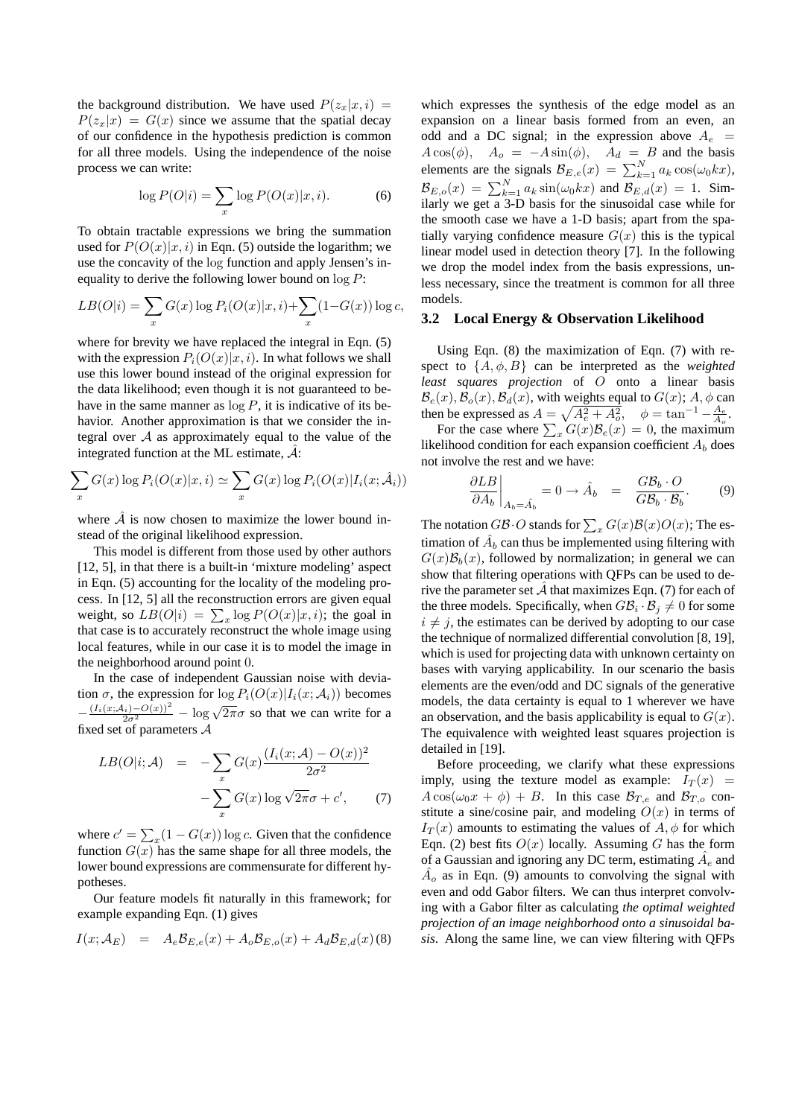the background distribution. We have used  $P(z_x|x, i)$  =  $P(z_x|x) = G(x)$  since we assume that the spatial decay of our confidence in the hypothesis prediction is common for all three models. Using the independence of the noise process we can write:

$$
\log P(O|i) = \sum_{x} \log P(O(x)|x, i). \tag{6}
$$

To obtain tractable expressions we bring the summation used for  $P(O(x)|x, i)$  in Eqn. (5) outside the logarithm; we use the concavity of the log function and apply Jensen's inequality to derive the following lower bound on  $\log P$ :

$$
LB(O|i) = \sum_{x} G(x) \log P_i(O(x)|x, i) + \sum_{x} (1 - G(x)) \log c,
$$

where for brevity we have replaced the integral in Eqn.  $(5)$ with the expression  $P_i(O(x)|x, i)$ . In what follows we shall use this lower bound instead of the original expression for the data likelihood; even though it is not guaranteed to behave in the same manner as  $\log P$ , it is indicative of its behavior. Another approximation is that we consider the integral over  $A$  as approximately equal to the value of the integrated function at the ML estimate,  $A$ :

$$
\sum_{x} G(x) \log P_i(O(x)|x, i) \simeq \sum_{x} G(x) \log P_i(O(x)|I_i(x; \hat{\mathcal{A}}_i))
$$

where  $\hat{A}$  is now chosen to maximize the lower bound instead of the original likelihood expression.

This model is different from those used by other authors [12, 5], in that there is a built-in 'mixture modeling' aspect in Eqn. (5) accounting for the locality of the modeling process. In [12, 5] all the reconstruction errors are given equal cess. In [12, 5] an the reconstruction errors are given equal<br>weight, so  $LB(O|i) = \sum_x \log P(O(x)|x, i)$ ; the goal in that case is to accurately reconstruct the whole image using local features, while in our case it is to model the image in the neighborhood around point 0.

In the case of independent Gaussian noise with deviation  $\sigma$ , the expression for  $\log P_i(O(x)|I_i(x; \mathcal{A}_i))$  becomes  $-\frac{(I_i(x;\mathcal{A}_i)-O(x))^2}{2\sigma^2}-\log\sqrt{2\pi}\sigma$  so that we can write for a fixed set of parameters A

$$
LB(O|i;A) = -\sum_{x} G(x) \frac{(I_i(x;A) - O(x))^2}{2\sigma^2}
$$

$$
-\sum_{x} G(x) \log \sqrt{2\pi}\sigma + c', \qquad (7)
$$

where  $c' = \sum$  $_{x}(1 - G(x)) \log c$ . Given that the confidence function  $G(x)$  has the same shape for all three models, the lower bound expressions are commensurate for different hypotheses.

Our feature models fit naturally in this framework; for example expanding Eqn. (1) gives

$$
I(x; \mathcal{A}_E) = A_e \mathcal{B}_{E,e}(x) + A_o \mathcal{B}_{E,o}(x) + A_d \mathcal{B}_{E,d}(x)
$$
 (8)

which expresses the synthesis of the edge model as an expansion on a linear basis formed from an even, an odd and a DC signal; in the expression above  $A_e$  =  $A\cos(\phi)$ ,  $A_o = -A\sin(\phi)$ ,  $A_d = B$  and the basis  $\Delta \cos(\psi)$ ,  $\Delta \phi = -\Delta \sin(\psi)$ ,  $\Delta d = B$  and the basis<br>elements are the signals  $B_{E,e}(x) = \sum_{k=1}^{N} a_k \cos(\omega_0 kx)$ , BE, $\delta(x) = \sum_{k=1}^{N} a_k \sin(\omega_0 kx)$  and  $B_{E,d}(x) = 1$ . Similarly we get a 3-D basis for the sinusoidal case while for the smooth case we have a 1-D basis; apart from the spatially varying confidence measure  $G(x)$  this is the typical linear model used in detection theory [7]. In the following we drop the model index from the basis expressions, unless necessary, since the treatment is common for all three models.

#### **3.2 Local Energy & Observation Likelihood**

Using Eqn.  $(8)$  the maximization of Eqn.  $(7)$  with respect to  $\{A, \phi, B\}$  can be interpreted as the *weighted least squares projection* of O onto a linear basis  $\mathcal{B}_e(x)$ ,  $\mathcal{B}_o(x)$ ,  $\mathcal{B}_d(x)$ , with weights equal to  $G(x)$ ;  $A$ ,  $\phi$  can then be expressed as  $A = \sqrt{A_e^2 + A_o^2}$ ,  $\phi = \tan^{-1} - \frac{A_e}{A_o}$ .<br>For the case where  $\sum_x G(x)B_e(x) = 0$ , the maximum

likelihood condition for each expansion coefficient  $A_b$  does not involve the rest and we have:

$$
\left. \frac{\partial LB}{\partial A_b} \right|_{A_b = \hat{A}_b} = 0 \to \hat{A}_b = \frac{GB_b \cdot O}{GB_b \cdot B_b}.
$$
 (9)

The notation  $GB \cdot O$  stands for  $\sum_{x} G(x) \mathcal{B}(x) O(x)$ ; The estimation of  $\hat{A}_b$  can thus be implemented using filtering with  $G(x)\mathcal{B}_b(x)$ , followed by normalization; in general we can show that filtering operations with QFPs can be used to derive the parameter set  $\hat{\mathcal{A}}$  that maximizes Eqn. (7) for each of the three models. Specifically, when  $G\mathcal{B}_i \cdot \mathcal{B}_j \neq 0$  for some  $i \neq j$ , the estimates can be derived by adopting to our case the technique of normalized differential convolution [8, 19], which is used for projecting data with unknown certainty on bases with varying applicability. In our scenario the basis elements are the even/odd and DC signals of the generative models, the data certainty is equal to 1 wherever we have an observation, and the basis applicability is equal to  $G(x)$ . The equivalence with weighted least squares projection is detailed in [19].

Before proceeding, we clarify what these expressions imply, using the texture model as example:  $I_T(x)$  =  $A\cos(\omega_0 x + \phi) + B$ . In this case  $\mathcal{B}_{T,e}$  and  $\mathcal{B}_{T,o}$  constitute a sine/cosine pair, and modeling  $O(x)$  in terms of  $I_T(x)$  amounts to estimating the values of  $A, \phi$  for which Eqn. (2) best fits  $O(x)$  locally. Assuming G has the form of a Gaussian and ignoring any DC term, estimating  $\hat{A}_e$  and  $\hat{A}_o$  as in Eqn. (9) amounts to convolving the signal with even and odd Gabor filters. We can thus interpret convolving with a Gabor filter as calculating *the optimal weighted projection of an image neighborhood onto a sinusoidal basis*. Along the same line, we can view filtering with QFPs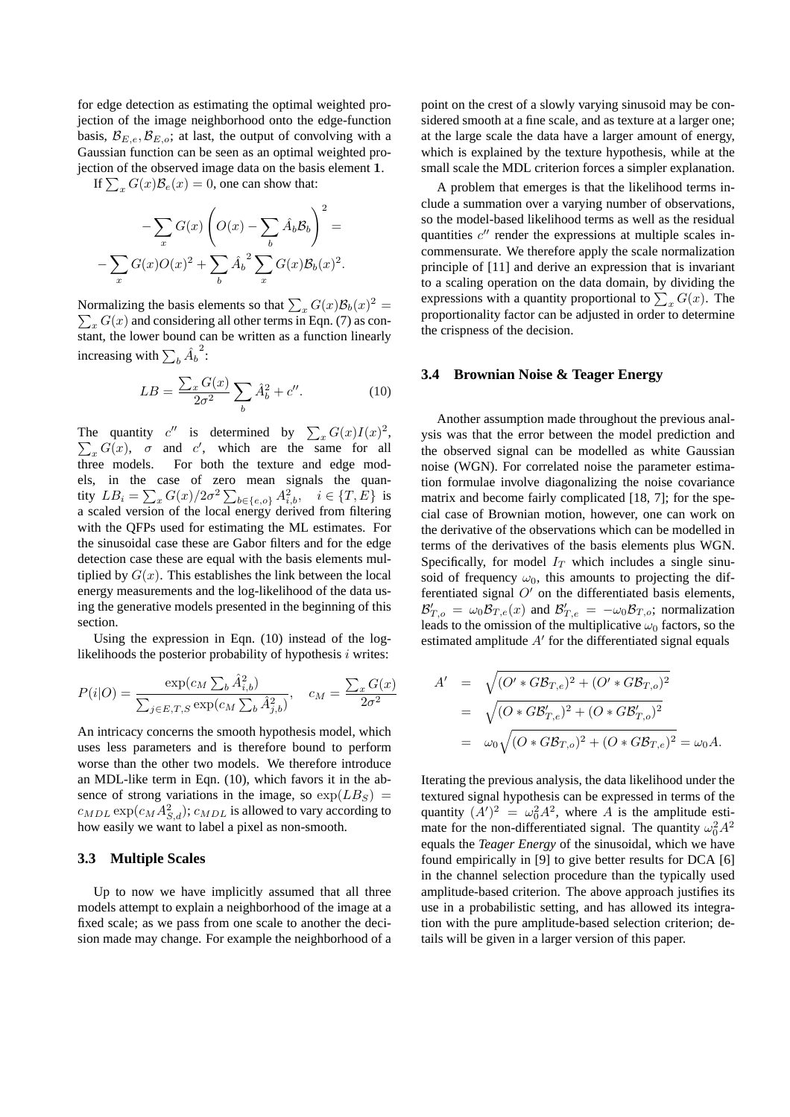for edge detection as estimating the optimal weighted projection of the image neighborhood onto the edge-function basis,  $\mathcal{B}_{E,e}, \mathcal{B}_{E,o}$ ; at last, the output of convolving with a Gaussian function can be seen as an optimal weighted projection of the observed image data on the basis element 1.

If  $\sum_{x} G(x)B_{e}(x) = 0$ , one can show that:

$$
-\sum_{x} G(x) \left( O(x) - \sum_{b} \hat{A}_b \mathcal{B}_b \right)^2 =
$$

$$
-\sum_{x} G(x) O(x)^2 + \sum_{b} \hat{A}_b^2 \sum_{x} G(x) \mathcal{B}_b(x)^2.
$$

Normalizing the basis elements so that  $\sum_{x} G(x) \mathcal{B}_b(x)^2 =$  $\sum_{x} G(x)$  and considering all other terms in Eqn. (7) as constant, the lower bound can be written as a function linearly increasing with  $\sum_b \hat{A}_b$ 2 :

$$
LB = \frac{\sum_{x} G(x)}{2\sigma^2} \sum_{b} \hat{A}_b^2 + c''.
$$
 (10)

The quantity c' is determined by  $\sum_{x} G(x)I(x)^2$ ,  $_{x}G(x), \sigma$  and c', which are the same for all three models. For both the texture and edge models, in the case of zero mean signals the quantity  $LB_i = \sum_x G(x)/2\sigma^2 \sum_{b \in \{e,o\}} A_{i,b}^2, \quad i \in \{T,E\}$  is a scaled version of the local energy derived from filtering with the QFPs used for estimating the ML estimates. For the sinusoidal case these are Gabor filters and for the edge detection case these are equal with the basis elements multiplied by  $G(x)$ . This establishes the link between the local energy measurements and the log-likelihood of the data using the generative models presented in the beginning of this section.

Using the expression in Eqn. (10) instead of the loglikelihoods the posterior probability of hypothesis  $i$  writes:

$$
P(i|O) = \frac{\exp(c_M \sum_b \hat{A}_{i,b}^2)}{\sum_{j \in E, T, S} \exp(c_M \sum_b \hat{A}_{j,b}^2)}, \quad c_M = \frac{\sum_x G(x)}{2\sigma^2}
$$

An intricacy concerns the smooth hypothesis model, which uses less parameters and is therefore bound to perform worse than the other two models. We therefore introduce an MDL-like term in Eqn. (10), which favors it in the absence of strong variations in the image, so  $\exp(LB_S)$  =  $c_{MDL} \exp(c_M A_{S,d}^2); c_{MDL}$  is allowed to vary according to how easily we want to label a pixel as non-smooth.

### **3.3 Multiple Scales**

Up to now we have implicitly assumed that all three models attempt to explain a neighborhood of the image at a fixed scale; as we pass from one scale to another the decision made may change. For example the neighborhood of a point on the crest of a slowly varying sinusoid may be considered smooth at a fine scale, and as texture at a larger one; at the large scale the data have a larger amount of energy, which is explained by the texture hypothesis, while at the small scale the MDL criterion forces a simpler explanation.

A problem that emerges is that the likelihood terms include a summation over a varying number of observations, so the model-based likelihood terms as well as the residual quantities  $c''$  render the expressions at multiple scales incommensurate. We therefore apply the scale normalization principle of [11] and derive an expression that is invariant to a scaling operation on the data domain, by dividing the to a scaling operation on the data domain, by dividing the expressions with a quantity proportional to  $\sum_{x} G(x)$ . The proportionality factor can be adjusted in order to determine the crispness of the decision.

#### **3.4 Brownian Noise & Teager Energy**

Another assumption made throughout the previous analysis was that the error between the model prediction and the observed signal can be modelled as white Gaussian noise (WGN). For correlated noise the parameter estimation formulae involve diagonalizing the noise covariance matrix and become fairly complicated [18, 7]; for the special case of Brownian motion, however, one can work on the derivative of the observations which can be modelled in terms of the derivatives of the basis elements plus WGN. Specifically, for model  $I_T$  which includes a single sinusoid of frequency  $\omega_0$ , this amounts to projecting the differentiated signal  $O'$  on the differentiated basis elements,  $\mathcal{B}_{T,o}' = \omega_0 \mathcal{B}_{T,e}(x)$  and  $\mathcal{B}_{T,e}' = -\omega_0 \mathcal{B}_{T,o}$ ; normalization leads to the omission of the multiplicative  $\omega_0$  factors, so the estimated amplitude  $A'$  for the differentiated signal equals

$$
A' = \sqrt{(O' * GB_{T,e})^2 + (O' * GB_{T,o})^2}
$$
  
=  $\sqrt{(O * GB'_{T,e})^2 + (O * GB'_{T,o})^2}$   
=  $\omega_0 \sqrt{(O * GB_{T,o})^2 + (O * GB_{T,e})^2} = \omega_0 A.$ 

Iterating the previous analysis, the data likelihood under the textured signal hypothesis can be expressed in terms of the quantity  $(A')^2 = \omega_0^2 A^2$ , where A is the amplitude estimate for the non-differentiated signal. The quantity  $\omega_0^2 A^2$ equals the *Teager Energy* of the sinusoidal, which we have found empirically in [9] to give better results for DCA [6] in the channel selection procedure than the typically used amplitude-based criterion. The above approach justifies its use in a probabilistic setting, and has allowed its integration with the pure amplitude-based selection criterion; details will be given in a larger version of this paper.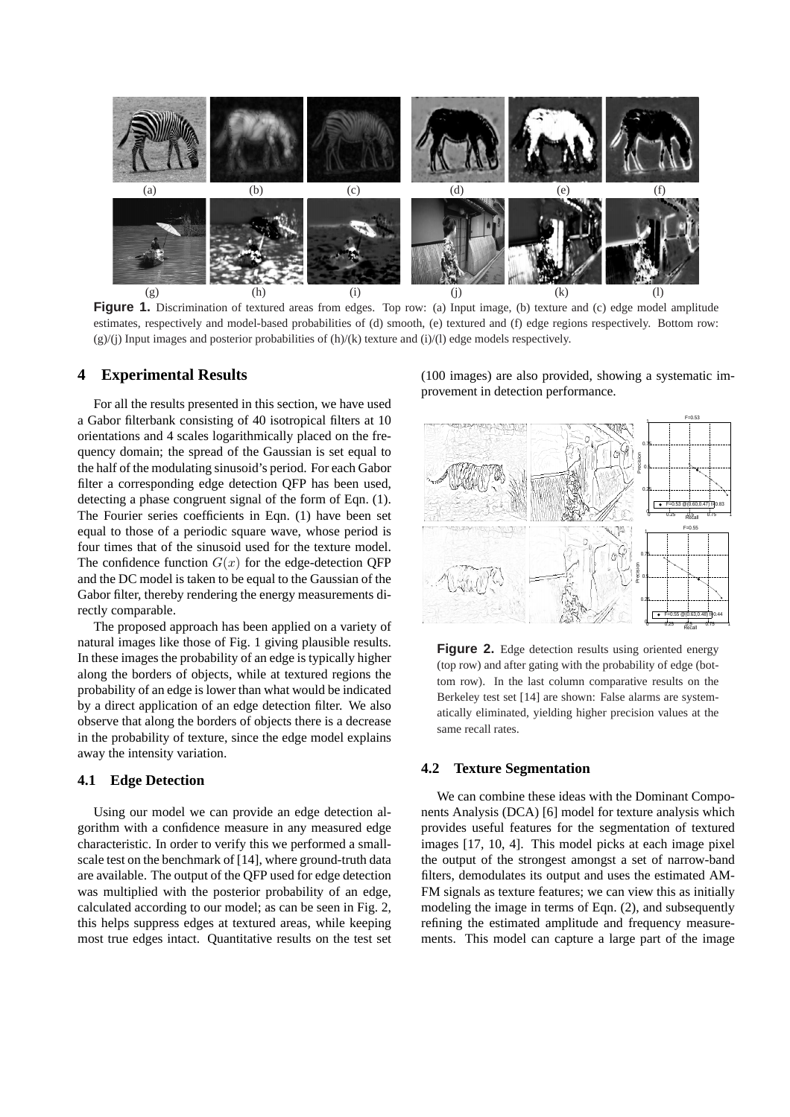

**Figure 1.** Discrimination of textured areas from edges. Top row: (a) Input image, (b) texture and (c) edge model amplitude estimates, respectively and model-based probabilities of (d) smooth, (e) textured and (f) edge regions respectively. Bottom row:  $(g)/(j)$  Input images and posterior probabilities of  $(h)/(k)$  texture and  $(i)/(l)$  edge models respectively.

### **4 Experimental Results**

For all the results presented in this section, we have used a Gabor filterbank consisting of 40 isotropical filters at 10 orientations and 4 scales logarithmically placed on the frequency domain; the spread of the Gaussian is set equal to the half of the modulating sinusoid's period. For each Gabor filter a corresponding edge detection QFP has been used, detecting a phase congruent signal of the form of Eqn. (1). The Fourier series coefficients in Eqn. (1) have been set equal to those of a periodic square wave, whose period is four times that of the sinusoid used for the texture model. The confidence function  $G(x)$  for the edge-detection QFP and the DC model is taken to be equal to the Gaussian of the Gabor filter, thereby rendering the energy measurements directly comparable.

The proposed approach has been applied on a variety of natural images like those of Fig. 1 giving plausible results. In these images the probability of an edge is typically higher along the borders of objects, while at textured regions the probability of an edge is lower than what would be indicated by a direct application of an edge detection filter. We also observe that along the borders of objects there is a decrease in the probability of texture, since the edge model explains away the intensity variation.

#### **4.1 Edge Detection**

Using our model we can provide an edge detection algorithm with a confidence measure in any measured edge characteristic. In order to verify this we performed a smallscale test on the benchmark of [14], where ground-truth data are available. The output of the QFP used for edge detection was multiplied with the posterior probability of an edge, calculated according to our model; as can be seen in Fig. 2, this helps suppress edges at textured areas, while keeping most true edges intact. Quantitative results on the test set (100 images) are also provided, showing a systematic improvement in detection performance.



**Figure 2.** Edge detection results using oriented energy (top row) and after gating with the probability of edge (bottom row). In the last column comparative results on the Berkeley test set [14] are shown: False alarms are systematically eliminated, yielding higher precision values at the same recall rates.

#### **4.2 Texture Segmentation**

We can combine these ideas with the Dominant Components Analysis (DCA) [6] model for texture analysis which provides useful features for the segmentation of textured images [17, 10, 4]. This model picks at each image pixel the output of the strongest amongst a set of narrow-band filters, demodulates its output and uses the estimated AM-FM signals as texture features; we can view this as initially modeling the image in terms of Eqn. (2), and subsequently refining the estimated amplitude and frequency measurements. This model can capture a large part of the image